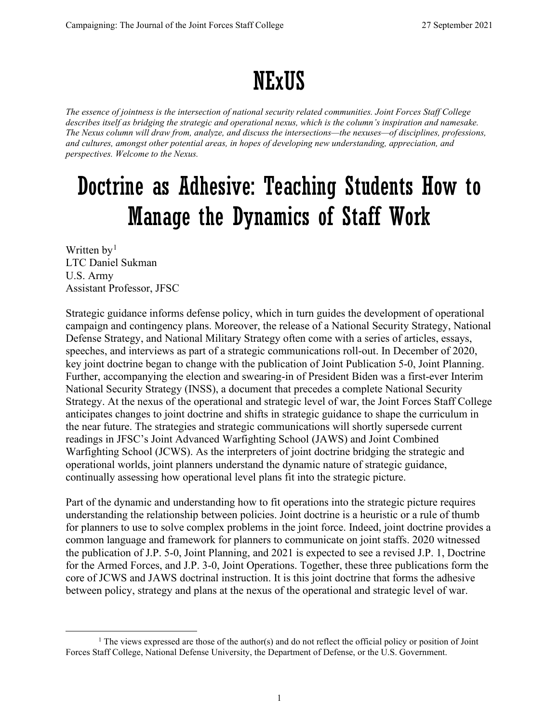## NExUS

*The essence of jointness is the intersection of national security related communities. Joint Forces Staff College describes itself as bridging the strategic and operational nexus, which is the column's inspiration and namesake. The Nexus column will draw from, analyze, and discuss the intersections—the nexuses—of disciplines, professions, and cultures, amongst other potential areas, in hopes of developing new understanding, appreciation, and perspectives. Welcome to the Nexus.*

## Doctrine as Adhesive: Teaching Students How to Manage the Dynamics of Staff Work

Written  $by<sup>1</sup>$  $by<sup>1</sup>$  $by<sup>1</sup>$ LTC Daniel Sukman U.S. Army Assistant Professor, JFSC

Strategic guidance informs defense policy, which in turn guides the development of operational campaign and contingency plans. Moreover, the release of a National Security Strategy, National Defense Strategy, and National Military Strategy often come with a series of articles, essays, speeches, and interviews as part of a strategic communications roll-out. In December of 2020, key joint doctrine began to change with the publication of Joint Publication 5-0, Joint Planning. Further, accompanying the election and swearing-in of President Biden was a first-ever Interim National Security Strategy (INSS), a document that precedes a complete National Security Strategy. At the nexus of the operational and strategic level of war, the Joint Forces Staff College anticipates changes to joint doctrine and shifts in strategic guidance to shape the curriculum in the near future. The strategies and strategic communications will shortly supersede current readings in JFSC's Joint Advanced Warfighting School (JAWS) and Joint Combined Warfighting School (JCWS). As the interpreters of joint doctrine bridging the strategic and operational worlds, joint planners understand the dynamic nature of strategic guidance, continually assessing how operational level plans fit into the strategic picture.

Part of the dynamic and understanding how to fit operations into the strategic picture requires understanding the relationship between policies. Joint doctrine is a heuristic or a rule of thumb for planners to use to solve complex problems in the joint force. Indeed, joint doctrine provides a common language and framework for planners to communicate on joint staffs. 2020 witnessed the publication of J.P. 5-0, Joint Planning, and 2021 is expected to see a revised J.P. 1, Doctrine for the Armed Forces, and J.P. 3-0, Joint Operations. Together, these three publications form the core of JCWS and JAWS doctrinal instruction. It is this joint doctrine that forms the adhesive between policy, strategy and plans at the nexus of the operational and strategic level of war.

<span id="page-0-0"></span> $<sup>1</sup>$  The views expressed are those of the author(s) and do not reflect the official policy or position of Joint</sup> Forces Staff College, National Defense University, the Department of Defense, or the U.S. Government.